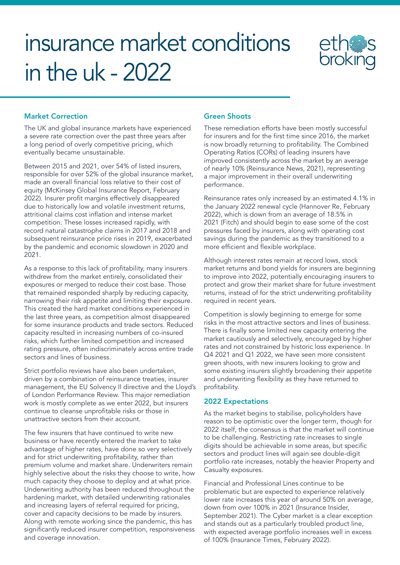# insurance market conditions in the uk - 2022



## Market Correction

The UK and global insurance markets have experienced a severe rate correction over the past three years after a long period of overly competitive pricing, which eventually became unsustainable.

Between 2015 and 2021, over 54% of listed insurers, responsible for over 52% of the global insurance market, made an overall financial loss relative to their cost of equity (McKinsey Global Insurance Report, February 2022). Insurer profit margins effectively disappeared due to historically low and volatile investment returns, attritional claims cost inflation and intense market competition. These losses increased rapidly, with record natural catastrophe claims in 2017 and 2018 and subsequent reinsurance price rises in 2019, exacerbated by the pandemic and economic slowdown in 2020 and 2021.

As a response to this lack of profitability, many insurers withdrew from the market entirely, consolidated their exposures or merged to reduce their cost base. Those that remained responded sharply by reducing capacity, narrowing their risk appetite and limiting their exposure. This created the hard market conditions experienced in the last three years, as competition almost disappeared for some insurance products and trade sectors. Reduced capacity resulted in increasing numbers of co-insured risks, which further limited competition and increased rating pressure, often indiscriminately across entire trade sectors and lines of business.

Strict portfolio reviews have also been undertaken, driven by a combination of reinsurance treaties, insurer management, the EU Solvency II directive and the Lloyd's of London Performance Review. This major remediation work is mostly complete as we enter 2022, but insurers continue to cleanse unprofitable risks or those in unattractive sectors from their account.

The few insurers that have continued to write new business or have recently entered the market to take advantage of higher rates, have done so very selectively and for strict underwriting profitability, rather than premium volume and market share. Underwriters remain highly selective about the risks they choose to write, how much capacity they choose to deploy and at what price. Underwriting authority has been reduced throughout the hardening market, with detailed underwriting rationales and increasing layers of referral required for pricing, cover and capacity decisions to be made by insurers. Along with remote working since the pandemic, this has significantly reduced insurer competition, responsiveness and coverage innovation.

#### Green Shoots

These remediation efforts have been mostly successful for insurers and for the first time since 2016, the market is now broadly returning to profitability. The Combined Operating Ratios (CORs) of leading insurers have improved consistently across the market by an average of nearly 10% (Reinsurance News, 2021), representing a major improvement in their overall underwriting performance.

Reinsurance rates only increased by an estimated 4.1% in the January 2022 renewal cycle (Hannover Re, February 2022), which is down from an average of 18.5% in 2021 (Fitch) and should begin to ease some of the cost pressures faced by insurers, along with operating cost savings during the pandemic as they transitioned to a more efficient and flexible workplace.

Although interest rates remain at record lows, stock market returns and bond yields for insurers are beginning to improve into 2022, potentially encouraging insurers to protect and grow their market share for future investment returns, instead of for the strict underwriting profitability required in recent years.

Competition is slowly beginning to emerge for some risks in the most attractive sectors and lines of business. There is finally some limited new capacity entering the market cautiously and selectively, encouraged by higher rates and not constrained by historic loss experience. In Q4 2021 and Q1 2022, we have seen more consistent green shoots, with new insurers looking to grow and some existing insurers slightly broadening their appetite and underwriting flexibility as they have returned to profitability.

#### 2022 Expectations

As the market begins to stabilise, policyholders have reason to be optimistic over the longer term, though for 2022 itself, the consensus is that the market will continue to be challenging. Restricting rate increases to single digits should be achievable in some areas, but specific sectors and product lines will again see double-digit portfolio rate increases, notably the heavier Property and Casualty exposures.

Financial and Professional Lines continue to be problematic but are expected to experience relatively lower rate increases this year of around 50% on average, down from over 100% in 2021 (Insurance Insider, September 2021). The Cyber market is a clear exception and stands out as a particularly troubled product line, with expected average portfolio increases well in excess of 100% (Insurance Times, February 2022).